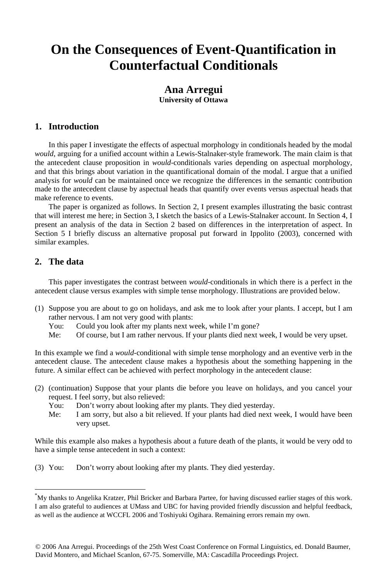## **On the Consequences of Event-Quantification in Counterfactual Conditionals**

## **Ana Arregui University of Ottawa**

### **1. Introduction**

 In this paper I investigate the effects of aspectual morphology in conditionals headed by the modal *would*, arguing for a unified account within a Lewis-Stalnaker-style framework. The main claim is that the antecedent clause proposition in *would*-conditionals varies depending on aspectual morphology, and that this brings about variation in the quantificational domain of the modal. I argue that a unified analysis for *would* can be maintained once we recognize the differences in the semantic contribution made to the antecedent clause by aspectual heads that quantify over events versus aspectual heads that make reference to events.

 The paper is organized as follows. In Section 2, I present examples illustrating the basic contrast that will interest me here; in Section 3, I sketch the basics of a Lewis-Stalnaker account. In Section 4, I present an analysis of the data in Section 2 based on differences in the interpretation of aspect. In Section 5 I briefly discuss an alternative proposal put forward in Ippolito (2003), concerned with similar examples.

### **2. The data**

1

 This paper investigates the contrast between *would*-conditionals in which there is a perfect in the antecedent clause versus examples with simple tense morphology. Illustrations are provided below.

- (1) Suppose you are about to go on holidays, and ask me to look after your plants. I accept, but I am rather nervous. I am not very good with plants:
	- You: Could you look after my plants next week, while I'm gone?
	- Me: Of course, but I am rather nervous. If your plants died next week, I would be very upset.

In this example we find a *would*-conditional with simple tense morphology and an eventive verb in the antecedent clause. The antecedent clause makes a hypothesis about the something happening in the future. A similar effect can be achieved with perfect morphology in the antecedent clause:

- (2) (continuation) Suppose that your plants die before you leave on holidays, and you cancel your request. I feel sorry, but also relieved:
	- You: Don't worry about looking after my plants. They died yesterday.
	- Me: I am sorry, but also a bit relieved. If your plants had died next week, I would have been very upset.

While this example also makes a hypothesis about a future death of the plants, it would be very odd to have a simple tense antecedent in such a context:

(3) You: Don't worry about looking after my plants. They died yesterday.

<sup>\*</sup> My thanks to Angelika Kratzer, Phil Bricker and Barbara Partee, for having discussed earlier stages of this work. I am also grateful to audiences at UMass and UBC for having provided friendly discussion and helpful feedback, as well as the audience at WCCFL 2006 and Toshiyuki Ogihara. Remaining errors remain my own.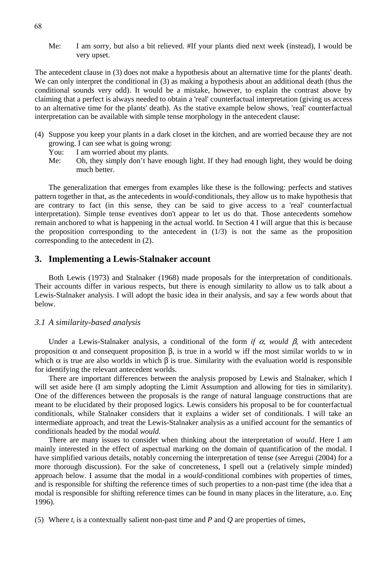Me: I am sorry, but also a bit relieved. #If your plants died next week (instead), I would be very upset.

The antecedent clause in (3) does not make a hypothesis about an alternative time for the plants' death. We can only interpret the conditional in (3) as making a hypothesis about an additional death (thus the conditional sounds very odd). It would be a mistake, however, to explain the contrast above by claiming that a perfect is always needed to obtain a 'real' counterfactual interpretation (giving us access to an alternative time for the plants' death). As the stative example below shows, 'real' counterfactual interpretation can be available with simple tense morphology in the antecedent clause:

- (4) Suppose you keep your plants in a dark closet in the kitchen, and are worried because they are not growing. I can see what is going wrong:
	- You: I am worried about my plants.
	- Me: Oh, they simply don't have enough light. If they had enough light, they would be doing much better.

 The generalization that emerges from examples like these is the following: perfects and statives pattern together in that, as the antecedents in *would*-conditionals, they allow us to make hypothesis that are contrary to fact (in this sense, they can be said to give access to a 'real' counterfactual interpretation). Simple tense eventives don't appear to let us do that. Those antecedents somehow remain anchored to what is happening in the actual world. In Section 4 I will argue that this is because the proposition corresponding to the antecedent in  $(1/3)$  is not the same as the proposition corresponding to the antecedent in (2).

#### **3. Implementing a Lewis-Stalnaker account**

 Both Lewis (1973) and Stalnaker (1968) made proposals for the interpretation of conditionals. Their accounts differ in various respects, but there is enough similarity to allow us to talk about a Lewis-Stalnaker analysis. I will adopt the basic idea in their analysis, and say a few words about that below.

#### *3.1 A similarity-based analysis*

 Under a Lewis-Stalnaker analysis, a conditional of the form *if* α*, would* β, with antecedent proposition  $\alpha$  and consequent proposition  $\beta$ , is true in a world w iff the most similar worlds to w in which  $\alpha$  is true are also worlds in which  $\beta$  is true. Similarity with the evaluation world is responsible for identifying the relevant antecedent worlds.

There are important differences between the analysis proposed by Lewis and Stalnaker, which I will set aside here (I am simply adopting the Limit Assumption and allowing for ties in similarity). One of the differences between the proposals is the range of natural language constructions that are meant to be elucidated by their proposed logics. Lewis considers his proposal to be for counterfactual conditionals, while Stalnaker considers that it explains a wider set of conditionals. I will take an intermediate approach, and treat the Lewis-Stalnaker analysis as a unified account for the semantics of conditionals headed by the modal *would*.

 There are many issues to consider when thinking about the interpretation of *would*. Here I am mainly interested in the effect of aspectual marking on the domain of quantification of the modal. I have simplified various details, notably concerning the interpretation of tense (see Arregui (2004) for a more thorough discussion). For the sake of concreteness, I spell out a (relatively simple minded) approach below. I assume that the modal in a *would*-conditional combines with properties of times, and is responsible for shifting the reference times of such properties to a non-past time (the idea that a modal is responsible for shifting reference times can be found in many places in the literature, a.o. Enç 1996).

(5) Where  $t_i$  is a contextually salient non-past time and *P* and *Q* are properties of times,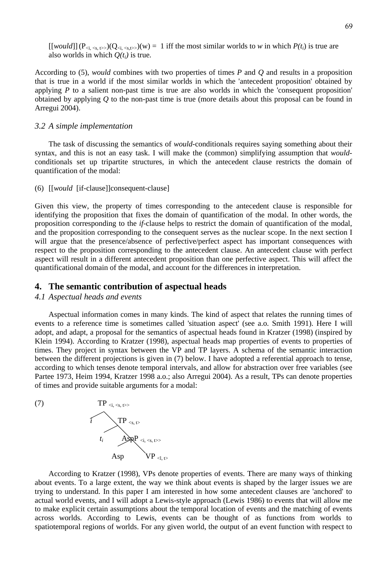$[[would]](P_{\le i, \le s, t\ge})(Q_{\le i, \le s,t\ge})(w) = 1$  iff the most similar worlds to *w* in which  $P(t_i)$  is true are also worlds in which  $Q(t_i)$  is true.

According to (5), *would* combines with two properties of times *P* and *Q* and results in a proposition that is true in a world if the most similar worlds in which the 'antecedent proposition' obtained by applying *P* to a salient non-past time is true are also worlds in which the 'consequent proposition' obtained by applying *Q* to the non-past time is true (more details about this proposal can be found in Arregui 2004).

#### *3.2 A simple implementation*

 The task of discussing the semantics of *would*-conditionals requires saying something about their syntax, and this is not an easy task. I will make the (common) simplifying assumption that *would*conditionals set up tripartite structures, in which the antecedent clause restricts the domain of quantification of the modal:

#### (6) [[*would* [if-clause]]consequent-clause]

Given this view, the property of times corresponding to the antecedent clause is responsible for identifying the proposition that fixes the domain of quantification of the modal. In other words, the proposition corresponding to the *if*-clause helps to restrict the domain of quantification of the modal, and the proposition corresponding to the consequent serves as the nuclear scope. In the next section I will argue that the presence/absence of perfective/perfect aspect has important consequences with respect to the proposition corresponding to the antecedent clause. An antecedent clause with perfect aspect will result in a different antecedent proposition than one perfective aspect. This will affect the quantificational domain of the modal, and account for the differences in interpretation.

#### **4. The semantic contribution of aspectual heads**

#### *4.1 Aspectual heads and events*

 Aspectual information comes in many kinds. The kind of aspect that relates the running times of events to a reference time is sometimes called 'situation aspect' (see a.o. Smith 1991). Here I will adopt, and adapt, a proposal for the semantics of aspectual heads found in Kratzer (1998) (inspired by Klein 1994). According to Kratzer (1998), aspectual heads map properties of events to properties of times. They project in syntax between the VP and TP layers. A schema of the semantic interaction between the different projections is given in (7) below. I have adopted a referential approach to tense, according to which tenses denote temporal intervals, and allow for abstraction over free variables (see Partee 1973, Heim 1994, Kratzer 1998 a.o.; also Arregui 2004). As a result, TPs can denote properties of times and provide suitable arguments for a modal:



 According to Kratzer (1998), VPs denote properties of events. There are many ways of thinking about events. To a large extent, the way we think about events is shaped by the larger issues we are trying to understand. In this paper I am interested in how some antecedent clauses are 'anchored' to actual world events, and I will adopt a Lewis-style approach (Lewis 1986) to events that will allow me to make explicit certain assumptions about the temporal location of events and the matching of events across worlds. According to Lewis, events can be thought of as functions from worlds to spatiotemporal regions of worlds. For any given world, the output of an event function with respect to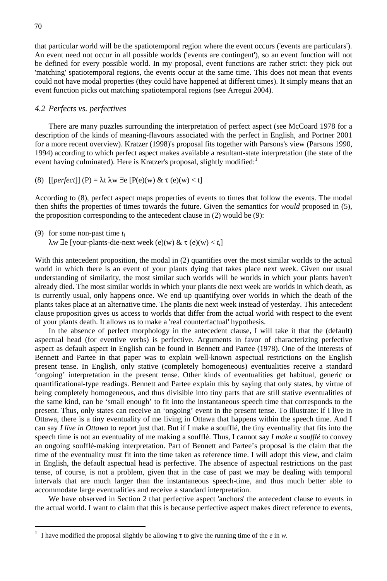that particular world will be the spatiotemporal region where the event occurs ('events are particulars'). An event need not occur in all possible worlds ('events are contingent'), so an event function will not be defined for every possible world. In my proposal, event functions are rather strict: they pick out 'matching' spatiotemporal regions, the events occur at the same time. This does not mean that events could not have modal properties (they could have happened at different times). It simply means that an event function picks out matching spatiotemporal regions (see Arregui 2004).

#### *4.2 Perfects vs. perfectives*

 There are many puzzles surrounding the interpretation of perfect aspect (see McCoard 1978 for a description of the kinds of meaning-flavours associated with the perfect in English, and Portner 2001 for a more recent overview). Kratzer (1998)'s proposal fits together with Parsons's view (Parsons 1990, 1994) according to which perfect aspect makes available a resultant-state interpretation (the state of the event having culminated). Here is Kratzer's proposal, slightly modified:<sup>1</sup>

(8)  $[perfect]$  (P) =  $\lambda t \lambda w \exists e [P(e)(w) \& \tau(e)(w) < t]$ 

According to (8), perfect aspect maps properties of events to times that follow the events. The modal then shifts the properties of times towards the future. Given the semantics for *would* proposed in (5), the proposition corresponding to the antecedent clause in (2) would be (9):

```
(9) for some non-past time ti
```
<u>.</u>

λw ∃e [your-plants-die-next week (e)(w) & τ (e)(w) < *ti*]

With this antecedent proposition, the modal in (2) quantifies over the most similar worlds to the actual world in which there is an event of your plants dying that takes place next week. Given our usual understanding of similarity, the most similar such worlds will be worlds in which your plants haven't already died. The most similar worlds in which your plants die next week are worlds in which death, as is currently usual, only happens once. We end up quantifying over worlds in which the death of the plants takes place at an alternative time. The plants die next week instead of yesterday. This antecedent clause proposition gives us access to worlds that differ from the actual world with respect to the event of your plants death. It allows us to make a 'real counterfactual' hypothesis.

 In the absence of perfect morphology in the antecedent clause, I will take it that the (default) aspectual head (for eventive verbs) is perfective. Arguments in favor of characterizing perfective aspect as default aspect in English can be found in Bennett and Partee (1978). One of the interests of Bennett and Partee in that paper was to explain well-known aspectual restrictions on the English present tense. In English, only stative (completely homogeneous) eventualities receive a standard 'ongoing' interpretation in the present tense. Other kinds of eventualities get habitual, generic or quantificational-type readings. Bennett and Partee explain this by saying that only states, by virtue of being completely homogeneous, and thus divisible into tiny parts that are still stative eventualities of the same kind, can be 'small enough' to fit into the instantaneous speech time that corresponds to the present. Thus, only states can receive an 'ongoing' event in the present tense. To illustrate: if I live in Ottawa, there is a tiny eventuality of me living in Ottawa that happens within the speech time. And I can say *I live in Ottawa* to report just that. But if I make a soufflé, the tiny eventuality that fits into the speech time is not an eventuality of me making a soufflé. Thus, I cannot say *I make a soufflé* to convey an ongoing soufflé-making interpretation. Part of Bennett and Partee's proposal is the claim that the time of the eventuality must fit into the time taken as reference time. I will adopt this view, and claim in English, the default aspectual head is perfective. The absence of aspectual restrictions on the past tense, of course, is not a problem, given that in the case of past we may be dealing with temporal intervals that are much larger than the instantaneous speech-time, and thus much better able to accommodate large eventualities and receive a standard interpretation.

 We have observed in Section 2 that perfective aspect 'anchors' the antecedent clause to events in the actual world. I want to claim that this is because perfective aspect makes direct reference to events,

<sup>1</sup> I have modified the proposal slightly be allowing  $\tau$  to give the running time of the *e* in *w*.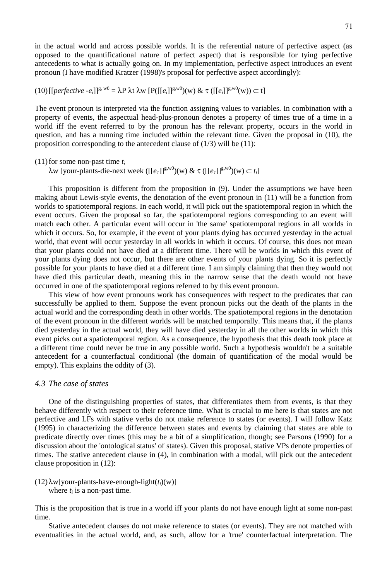in the actual world and across possible worlds. It is the referential nature of perfective aspect (as opposed to the quantificational nature of perfect aspect) that is responsible for tying perfective antecedents to what is actually going on. In my implementation, perfective aspect introduces an event pronoun (I have modified Kratzer (1998)'s proposal for perfective aspect accordingly):

$$
(10)\left[\left[\text{perfective } -e_i\right]\right]^{g, w_0} = \lambda P \lambda t \lambda w \left[P(\left[\left[e_i\right]\right]^{g, w_0})(w) \& \tau(\left[\left[e_i\right]\right]^{g, w_0})(w)\right] \subset t\right]
$$

The event pronoun is interpreted via the function assigning values to variables. In combination with a property of events, the aspectual head-plus-pronoun denotes a property of times true of a time in a world iff the event referred to by the pronoun has the relevant property, occurs in the world in question, and has a running time included within the relevant time. Given the proposal in (10), the proposition corresponding to the antecedent clause of  $(1/3)$  will be  $(11)$ :

(11) for some non-past time *ti*

 $λw$  [your-plants-die-next week ([[*e<sub>1</sub>*]]<sup>g,w0</sup>)(w) & τ ([[*e<sub>1</sub>*]]<sup>g,w0</sup>)(w) ⊂ *t<sub>i</sub>*]

 This proposition is different from the proposition in (9). Under the assumptions we have been making about Lewis-style events, the denotation of the event pronoun in (11) will be a function from worlds to spatiotemporal regions. In each world, it will pick out the spatiotemporal region in which the event occurs. Given the proposal so far, the spatiotemporal regions corresponding to an event will match each other. A particular event will occur in 'the same' spatiotemporal regions in all worlds in which it occurs. So, for example, if the event of your plants dying has occurred yesterday in the actual world, that event will occur yesterday in all worlds in which it occurs. Of course, this does not mean that your plants could not have died at a different time. There will be worlds in which this event of your plants dying does not occur, but there are other events of your plants dying. So it is perfectly possible for your plants to have died at a different time. I am simply claiming that then they would not have died this particular death, meaning this in the narrow sense that the death would not have occurred in one of the spatiotemporal regions referred to by this event pronoun.

This view of how event pronouns work has consequences with respect to the predicates that can successfully be applied to them. Suppose the event pronoun picks out the death of the plants in the actual world and the corresponding death in other worlds. The spatiotemporal regions in the denotation of the event pronoun in the different worlds will be matched temporally. This means that, if the plants died yesterday in the actual world, they will have died yesterday in all the other worlds in which this event picks out a spatiotemporal region. As a consequence, the hypothesis that this death took place at a different time could never be true in any possible world. Such a hypothesis wouldn't be a suitable antecedent for a counterfactual conditional (the domain of quantification of the modal would be empty). This explains the oddity of (3).

#### *4.3 The case of states*

 One of the distinguishing properties of states, that differentiates them from events, is that they behave differently with respect to their reference time. What is crucial to me here is that states are not perfective and LFs with stative verbs do not make reference to states (or events). I will follow Katz (1995) in characterizing the difference between states and events by claiming that states are able to predicate directly over times (this may be a bit of a simplification, though; see Parsons (1990) for a discussion about the 'ontological status' of states). Given this proposal, stative VPs denote properties of times. The stative antecedent clause in (4), in combination with a modal, will pick out the antecedent clause proposition in (12):

 $(12)\lambda w$ [your-plants-have-enough-light $(t_i)(w)$ ] where  $t_i$  is a non-past time.

This is the proposition that is true in a world iff your plants do not have enough light at some non-past time.

 Stative antecedent clauses do not make reference to states (or events). They are not matched with eventualities in the actual world, and, as such, allow for a 'true' counterfactual interpretation. The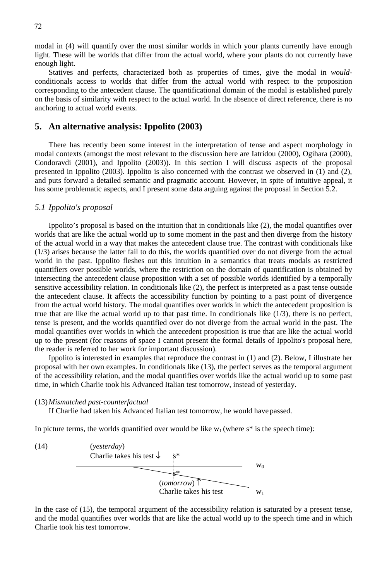modal in (4) will quantify over the most similar worlds in which your plants currently have enough light. These will be worlds that differ from the actual world, where your plants do not currently have enough light.

 Statives and perfects, characterized both as properties of times, give the modal in *would*conditionals access to worlds that differ from the actual world with respect to the proposition corresponding to the antecedent clause. The quantificational domain of the modal is established purely on the basis of similarity with respect to the actual world. In the absence of direct reference, there is no anchoring to actual world events.

#### **5. An alternative analysis: Ippolito (2003)**

 There has recently been some interest in the interpretation of tense and aspect morphology in modal contexts (amongst the most relevant to the discussion here are Iatridou (2000), Ogihara (2000), Condoravdi (2001), and Ippolito (2003)). In this section I will discuss aspects of the proposal presented in Ippolito (2003). Ippolito is also concerned with the contrast we observed in (1) and (2), and puts forward a detailed semantic and pragmatic account. However, in spite of intuitive appeal, it has some problematic aspects, and I present some data arguing against the proposal in Section 5.2.

#### *5.1 Ippolito's proposal*

 Ippolito's proposal is based on the intuition that in conditionals like (2), the modal quantifies over worlds that are like the actual world up to some moment in the past and then diverge from the history of the actual world in a way that makes the antecedent clause true. The contrast with conditionals like (1/3) arises because the latter fail to do this, the worlds quantified over do not diverge from the actual world in the past. Ippolito fleshes out this intuition in a semantics that treats modals as restricted quantifiers over possible worlds, where the restriction on the domain of quantification is obtained by intersecting the antecedent clause proposition with a set of possible worlds identified by a temporally sensitive accessibility relation. In conditionals like (2), the perfect is interpreted as a past tense outside the antecedent clause. It affects the accessibility function by pointing to a past point of divergence from the actual world history. The modal quantifies over worlds in which the antecedent proposition is true that are like the actual world up to that past time. In conditionals like  $(1/3)$ , there is no perfect, tense is present, and the worlds quantified over do not diverge from the actual world in the past. The modal quantifies over worlds in which the antecedent proposition is true that are like the actual world up to the present (for reasons of space I cannot present the formal details of Ippolito's proposal here, the reader is referred to her work for important discussion).

Ippolito is interested in examples that reproduce the contrast in (1) and (2). Below, I illustrate her proposal with her own examples. In conditionals like (13), the perfect serves as the temporal argument of the accessibility relation, and the modal quantifies over worlds like the actual world up to some past time, in which Charlie took his Advanced Italian test tomorrow, instead of yesterday.

#### (13) *Mismatched past-counterfactual*

If Charlie had taken his Advanced Italian test tomorrow, he would have passed.

In picture terms, the worlds quantified over would be like  $w_1$  (where  $s^*$  is the speech time):



In the case of (15), the temporal argument of the accessibility relation is saturated by a present tense, and the modal quantifies over worlds that are like the actual world up to the speech time and in which Charlie took his test tomorrow.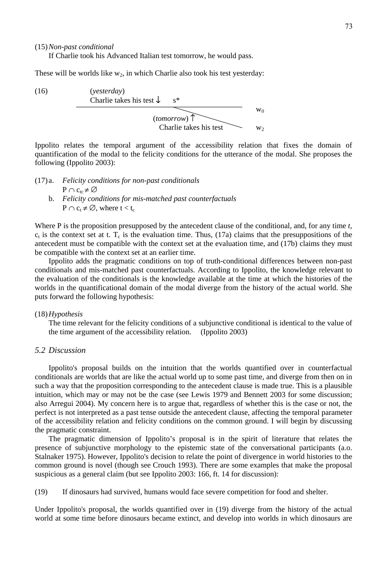(15) *Non-past conditional*

If Charlie took his Advanced Italian test tomorrow, he would pass.

These will be worlds like  $w_2$ , in which Charlie also took his test yesterday:

(16) 
$$
(y \text{esterday})
$$
\n

| Charlie takes his test | s*    |
|------------------------|-------|
| $(tomorrow)$           | $w_0$ |
| Charlie takes his test | $w_2$ |

Ippolito relates the temporal argument of the accessibility relation that fixes the domain of quantification of the modal to the felicity conditions for the utterance of the modal. She proposes the following (Ippolito 2003):

(17) a. *Felicity conditions for non-past conditionals*  $P \cap C_{te} \neq \emptyset$  b. *Felicity conditions for mis-matched past counterfactuals*  $P \cap c_t \neq \emptyset$ , where  $t < t_c$ 

Where P is the proposition presupposed by the antecedent clause of the conditional, and, for any time *t*,  $c<sub>t</sub>$  is the context set at t. T<sub>c</sub> is the evaluation time. Thus, (17a) claims that the presuppositions of the antecedent must be compatible with the context set at the evaluation time, and (17b) claims they must be compatible with the context set at an earlier time.

Ippolito adds the pragmatic conditions on top of truth-conditional differences between non-past conditionals and mis-matched past counterfactuals. According to Ippolito, the knowledge relevant to the evaluation of the conditionals is the knowledge available at the time at which the histories of the worlds in the quantificational domain of the modal diverge from the history of the actual world. She puts forward the following hypothesis:

#### (18) *Hypothesis*

 The time relevant for the felicity conditions of a subjunctive conditional is identical to the value of the time argument of the accessibility relation. (Ippolito 2003)

#### *5.2 Discussion*

 Ippolito's proposal builds on the intuition that the worlds quantified over in counterfactual conditionals are worlds that are like the actual world up to some past time, and diverge from then on in such a way that the proposition corresponding to the antecedent clause is made true. This is a plausible intuition, which may or may not be the case (see Lewis 1979 and Bennett 2003 for some discussion; also Arregui 2004). My concern here is to argue that, regardless of whether this is the case or not, the perfect is not interpreted as a past tense outside the antecedent clause, affecting the temporal parameter of the accessibility relation and felicity conditions on the common ground. I will begin by discussing the pragmatic constraint.

 The pragmatic dimension of Ippolito's proposal is in the spirit of literature that relates the presence of subjunctive morphology to the epistemic state of the conversational participants (a.o. Stalnaker 1975). However, Ippolito's decision to relate the point of divergence in world histories to the common ground is novel (though see Crouch 1993). There are some examples that make the proposal suspicious as a general claim (but see Ippolito 2003: 166, ft. 14 for discussion):

(19) If dinosaurs had survived, humans would face severe competition for food and shelter.

Under Ippolito's proposal, the worlds quantified over in (19) diverge from the history of the actual world at some time before dinosaurs became extinct, and develop into worlds in which dinosaurs are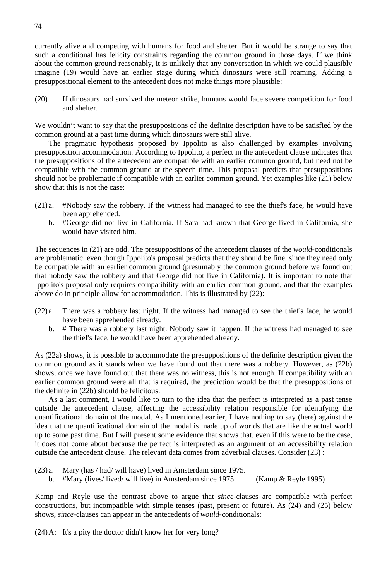currently alive and competing with humans for food and shelter. But it would be strange to say that such a conditional has felicity constraints regarding the common ground in those days. If we think about the common ground reasonably, it is unlikely that any conversation in which we could plausibly imagine (19) would have an earlier stage during which dinosaurs were still roaming. Adding a presuppositional element to the antecedent does not make things more plausible:

(20) If dinosaurs had survived the meteor strike, humans would face severe competition for food and shelter.

We wouldn't want to say that the presuppositions of the definite description have to be satisfied by the common ground at a past time during which dinosaurs were still alive.

 The pragmatic hypothesis proposed by Ippolito is also challenged by examples involving presupposition accommodation. According to Ippolito, a perfect in the antecedent clause indicates that the presuppositions of the antecedent are compatible with an earlier common ground, but need not be compatible with the common ground at the speech time. This proposal predicts that presuppositions should not be problematic if compatible with an earlier common ground. Yet examples like (21) below show that this is not the case:

- (21) a. #Nobody saw the robbery. If the witness had managed to see the thief's face, he would have been apprehended.
	- b. #George did not live in California. If Sara had known that George lived in California, she would have visited him.

The sequences in (21) are odd. The presuppositions of the antecedent clauses of the *would*-conditionals are problematic, even though Ippolito's proposal predicts that they should be fine, since they need only be compatible with an earlier common ground (presumably the common ground before we found out that nobody saw the robbery and that George did not live in California). It is important to note that Ippolito's proposal only requires compatibility with an earlier common ground, and that the examples above do in principle allow for accommodation. This is illustrated by (22):

- (22) a. There was a robbery last night. If the witness had managed to see the thief's face, he would have been apprehended already.
	- b. # There was a robbery last night. Nobody saw it happen. If the witness had managed to see the thief's face, he would have been apprehended already.

As (22a) shows, it is possible to accommodate the presuppositions of the definite description given the common ground as it stands when we have found out that there was a robbery. However, as (22b) shows, once we have found out that there was no witness, this is not enough. If compatibility with an earlier common ground were all that is required, the prediction would be that the presuppositions of the definite in (22b) should be felicitous.

 As a last comment, I would like to turn to the idea that the perfect is interpreted as a past tense outside the antecedent clause, affecting the accessibility relation responsible for identifying the quantificational domain of the modal. As I mentioned earlier, I have nothing to say (here) against the idea that the quantificational domain of the modal is made up of worlds that are like the actual world up to some past time. But I will present some evidence that shows that, even if this were to be the case, it does not come about because the perfect is interpreted as an argument of an accessibility relation outside the antecedent clause. The relevant data comes from adverbial clauses. Consider (23) :

- (23) a. Mary (has / had/ will have) lived in Amsterdam since 1975.
	- b. #Mary (lives/ lived/ will live) in Amsterdam since 1975. (Kamp & Reyle 1995)

Kamp and Reyle use the contrast above to argue that *since*-clauses are compatible with perfect constructions, but incompatible with simple tenses (past, present or future). As (24) and (25) below shows, *since*-clauses can appear in the antecedents of *would*-conditionals:

(24) A: It's a pity the doctor didn't know her for very long?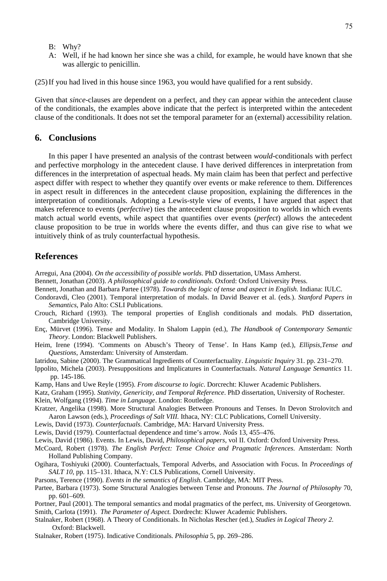- B: Why?
- A: Well, if he had known her since she was a child, for example, he would have known that she was allergic to penicillin.

(25) If you had lived in this house since 1963, you would have qualified for a rent subsidy.

Given that *since*-clauses are dependent on a perfect, and they can appear within the antecedent clause of the conditionals, the examples above indicate that the perfect is interpreted within the antecedent clause of the conditionals. It does not set the temporal parameter for an (external) accessibility relation.

#### **6. Conclusions**

 In this paper I have presented an analysis of the contrast between *would*-conditionals with perfect and perfective morphology in the antecedent clause. I have derived differences in interpretation from differences in the interpretation of aspectual heads. My main claim has been that perfect and perfective aspect differ with respect to whether they quantify over events or make reference to them. Differences in aspect result in differences in the antecedent clause proposition, explaining the differences in the interpretation of conditionals. Adopting a Lewis-style view of events, I have argued that aspect that makes reference to events (*perfective*) ties the antecedent clause proposition to worlds in which events match actual world events, while aspect that quantifies over events (*perfect*) allows the antecedent clause proposition to be true in worlds where the events differ, and thus can give rise to what we intuitively think of as truly counterfactual hypothesis.

#### **References**

- Arregui, Ana (2004). *On the accessibility of possible worlds*. PhD dissertation, UMass Amherst.
- Bennett, Jonathan (2003). *A philosophical guide to conditionals*. Oxford: Oxford University Press.
- Bennett, Jonathan and Barbara Partee (1978). *Towards the logic of tense and aspect in English*. Indiana: IULC.
- Condoravdi, Cleo (2001). Temporal interpretation of modals. In David Beaver et al. (eds.). *Stanford Papers in Semantics*, Palo Alto: CSLI Publications.
- Crouch, Richard (1993). The temporal properties of English conditionals and modals. PhD dissertation, Cambridge University.
- Enç, Mürvet (1996). Tense and Modality. In Shalom Lappin (ed.), *The Handbook of Contemporary Semantic Theory*. London: Blackwell Publishers.
- Heim, Irene (1994). 'Comments on Abusch's Theory of Tense'. In Hans Kamp (ed.), *Ellipsis,Tense and Questions*, Amsterdam: University of Amsterdam.
- Iatridou, Sabine (2000). The Grammatical Ingredients of Counterfactuality. *Linguistic Inquiry* 31. pp. 231–270.
- Ippolito, Michela (2003). Presuppositions and Implicatures in Counterfactuals. *Natural Language Semantics* 11. pp. 145-186.
- Kamp, Hans and Uwe Reyle (1995). *From discourse to logic*. Dorcrecht: Kluwer Academic Publishers.
- Katz, Graham (1995). *Stativity, Genericity, and Temporal Reference*. PhD dissertation, University of Rochester.
- Klein, Wolfgang (1994). *Time in Language*. London: Routledge.
- Kratzer, Angelika (1998). More Structural Analogies Between Pronouns and Tenses. In Devon Strolovitch and Aaron Lawson (eds.), *Proceedings of Salt VIII.* Ithaca, NY: CLC Publications, Cornell University.
- Lewis, David (1973). *Counterfactuals*. Cambridge, MA: Harvard University Press.
- Lewis, David (1979). Counterfactual dependence and time's arrow. *Noûs* 13, 455–476.
- Lewis, David (1986). Events. In Lewis, David, *Philosophical papers*, vol II. Oxford: Oxford University Press.
- McCoard, Robert (1978). *The English Perfect: Tense Choice and Pragmatic Inferences*. Amsterdam: North Holland Publishing Company.
- Ogihara, Toshiyuki (2000). Counterfactuals, Temporal Adverbs, and Association with Focus. In *Proceedings of SALT 10*, pp. 115–131. Ithaca, N.Y: CLS Publications, Cornell University.
- Parsons, Terence (1990). *Events in the semantics of English*. Cambridge, MA: MIT Press.
- Partee, Barbara (1973). Some Structural Analogies between Tense and Pronouns. *The Journal of Philosophy* 70, pp. 601–609.
- Portner, Paul (2001). The temporal semantics and modal pragmatics of the perfect, ms. University of Georgetown. Smith, Carlota (1991). *The Parameter of Aspect.* Dordrecht: Kluwer Academic Publishers.
- Stalnaker, Robert (1968). A Theory of Conditionals. In Nicholas Rescher (ed.), *Studies in Logical Theory 2.*  Oxford: Blackwell.
- Stalnaker, Robert (1975). Indicative Conditionals. *Philosophia* 5, pp. 269–286.